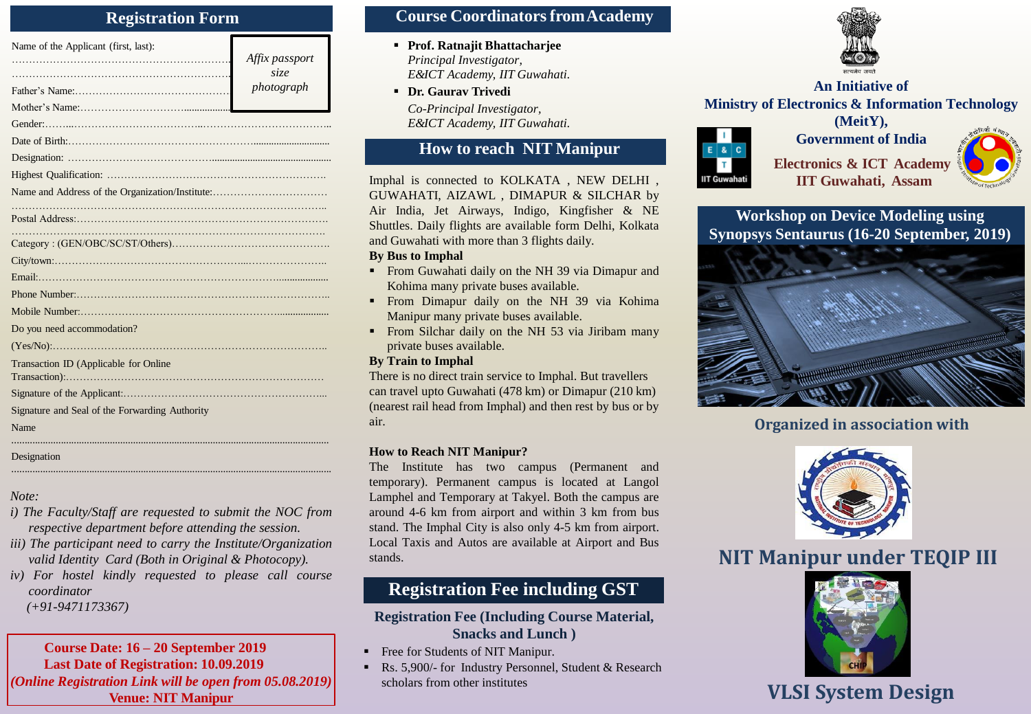### **Registration Form**

| Name of the Applicant (first, last):           | Affix passport<br>size<br>photograph |
|------------------------------------------------|--------------------------------------|
|                                                |                                      |
|                                                |                                      |
|                                                |                                      |
|                                                |                                      |
|                                                |                                      |
|                                                |                                      |
|                                                |                                      |
|                                                |                                      |
|                                                |                                      |
|                                                |                                      |
|                                                |                                      |
|                                                |                                      |
|                                                |                                      |
| Do you need accommodation?                     |                                      |
|                                                |                                      |
| Transaction ID (Applicable for Online          |                                      |
|                                                |                                      |
| Signature and Seal of the Forwarding Authority |                                      |
| Name                                           |                                      |
|                                                |                                      |

### Designation

*Note:*

*i) The Faculty/Staff are requested to submit the NOC from respective department before attending the session.*

............................................................................................................................

- *iii) The participant need to carry the Institute/Organization valid Identity Card (Both in Original & Photocopy).*
- *iv) For hostel kindly requested to please call course coordinator*

*(+91-9471173367)*

### **Course Date: 16 – 20 September 2019 Last Date of Registration: 10.09.2019** *(Online Registration Link will be open from 05.08.2019)* **VLSI System Design**

### **Course CoordinatorsfromAcademy**

- **Prof. Ratnajit Bhattacharjee** *Principal Investigator, E&ICT Academy, IIT Guwahati.*
- **Dr. Gaurav Trivedi** *Co-Principal Investigator,*

*E&ICT Academy, IIT Guwahati.*

## **How to reach NIT Manipur**

Imphal is connected to KOLKATA , NEW DELHI , GUWAHATI, AIZAWL , DIMAPUR & SILCHAR by Air India, Jet Airways, Indigo, Kingfisher & NE Shuttles. Daily flights are available form Delhi, Kolkata and Guwahati with more than 3 flights daily.

### **By Bus to Imphal**

- **From Guwahati daily on the NH 39 via Dimapur and** Kohima many private buses available.
- **From Dimapur daily on the NH 39 via Kohima** Manipur many private buses available.
- From Silchar daily on the NH 53 via Jiribam many private buses available.

### **By Train to Imphal**

There is no direct train service to Imphal. But travellers can travel upto Guwahati (478 km) or Dimapur (210 km) (nearest rail head from Imphal) and then rest by bus or by air.

### **How to Reach NIT Manipur?**

The Institute has two campus (Permanent and temporary). Permanent campus is located at Langol Lamphel and Temporary at Takyel. Both the campus are around 4-6 km from airport and within 3 km from bus stand. The Imphal City is also only 4-5 km from airport. Local Taxis and Autos are available at Airport and Bus stands.

## **Registration Fee including GST**

### **Registration Fee (Including Course Material, Snacks and Lunch )**

- Free for Students of NIT Manipur.
- Rs. 5,900/- for Industry Personnel, Student & Research scholars from other institutes



### *photograph* **An Initiative of Ministry of Electronics & Information Technology (MeitY),**



**Electronics & ICT Academy IIT Guwahati, Assam**

**Government of India**



**Workshop on Device Modeling using Synopsys Sentaurus (16-20 September, 2019)**



## **Organized in association with**



# **NIT Manipur under TEQIP III**